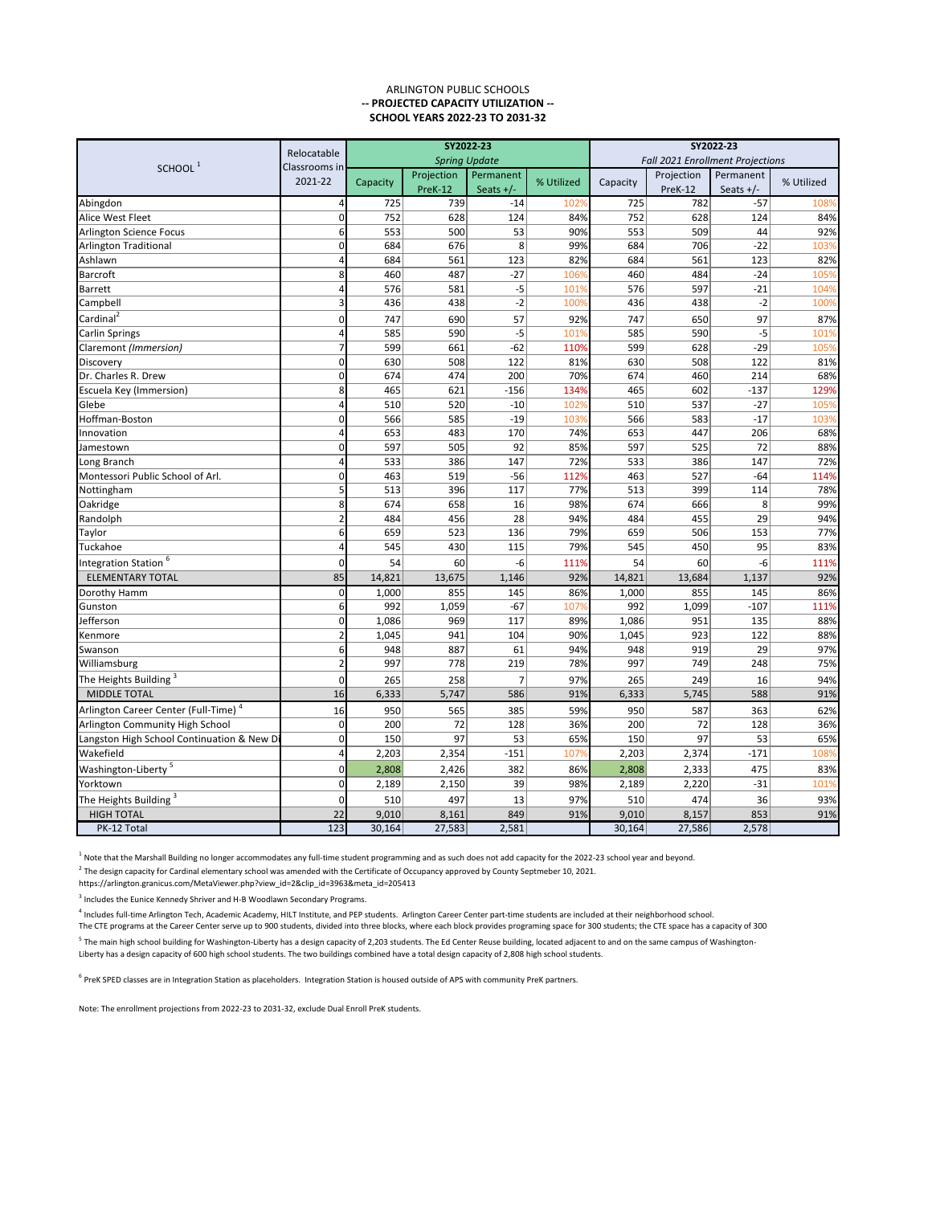<sup>5</sup> The main high school building for Washington-Liberty has a design capacity of 2,203 students. The Ed Center Reuse building, located adjacent to and on the same campus of Washington-Liberty has a design capacity of 600 high school students. The two buildings combined have a total design capacity of 2,808 high school students.

<sup>6</sup> PreK SPED classes are in Integration Station as placeholders. Integration Station is housed outside of APS with community PreK partners.

|                                                  | Relocatable   | SY2022-23 |                       |                          | SY2022-23  |                                  |                       |                          |            |
|--------------------------------------------------|---------------|-----------|-----------------------|--------------------------|------------|----------------------------------|-----------------------|--------------------------|------------|
|                                                  | Classrooms in |           |                       | <b>Spring Update</b>     |            | Fall 2021 Enrollment Projections |                       |                          |            |
| SCHOOL <sup>1</sup>                              | 2021-22       | Capacity  | Projection<br>PreK-12 | Permanent<br>Seats $+/-$ | % Utilized | Capacity                         | Projection<br>PreK-12 | Permanent<br>Seats $+/-$ | % Utilized |
| Abingdon                                         |               | 725       | 739                   | $-14$                    | 1029       | 725                              | 782                   | $-57$                    | 108%       |
| <b>Alice West Fleet</b>                          | 0l            | 752       | 628                   | 124                      | 84%        | 752                              | 628                   | 124                      | 84%        |
| <b>Arlington Science Focus</b>                   | 61            | 553       | 500                   | 53                       | 90%        | 553                              | 509                   | 44                       | 92%        |
| <b>Arlington Traditional</b>                     | 0             | 684       | 676                   | 8                        | 99%        | 684                              | 706                   | $-22$                    | 103%       |
| Ashlawn                                          |               | 684       | 561                   | 123                      | 82%        | 684                              | 561                   | 123                      | 82%        |
| <b>Barcroft</b>                                  | 8             | 460       | 487                   | $-27$                    | 1069       | 460                              | 484                   | $-24$                    | 105%       |
| <b>Barrett</b>                                   |               | 576       | 581                   | $-5$                     | 1019       | 576                              | 597                   | $-21$                    | 104%       |
| Campbell                                         |               | 436       | 438                   | $-2$                     | 100%       | 436                              | 438                   | $-2$                     | 100%       |
| Cardinal <sup>2</sup>                            | 0             | 747       | 690                   | 57                       | 92%        | 747                              | 650                   | 97                       | 87%        |
| <b>Carlin Springs</b>                            |               | 585       | 590                   | $-5$                     | 1019       | 585                              | 590                   | $-5$                     | 101%       |
| Claremont (Immersion)                            |               | 599       | 661                   | $-62$                    | 110%       | 599                              | 628                   | $-29$                    | 105%       |
| Discovery                                        | 0             | 630       | 508                   | 122                      | 81%        | 630                              | 508                   | 122                      | 81%        |
| Dr. Charles R. Drew                              | 0             | 674       | 474                   | 200                      | 70%        | 674                              | 460                   | 214                      | 68%        |
| Escuela Key (Immersion)                          | 8             | 465       | 621                   | $-156$                   | 134%       | 465                              | 602                   | $-137$                   | 129%       |
| Glebe                                            |               | 510       | 520                   | $-10$                    | 1029       | 510                              | 537                   | $-27$                    | 105%       |
| Hoffman-Boston                                   | 0l            | 566       | 585                   | $-19$                    | 1039       | 566                              | 583                   | $-17$                    | 103%       |
| Innovation                                       |               | 653       | 483                   | 170                      | 74%        | 653                              | 447                   | 206                      | 68%        |
| Jamestown                                        | 0             | 597       | 505                   | 92                       | 85%        | 597                              | 525                   | 72                       | 88%        |
| Long Branch                                      |               | 533       | 386                   | 147                      | 72%        | 533                              | 386                   | 147                      | 72%        |
| Montessori Public School of Arl.                 | 0             | 463       | 519                   | $-56$                    | 112%       | 463                              | 527                   | $-64$                    | 114%       |
| Nottingham                                       |               | 513       | 396                   | 117                      | 77%        | 513                              | 399                   | 114                      | 78%        |
| Oakridge                                         | 8             | 674       | 658                   | 16                       | 98%        | 674                              | 666                   | 8                        | 99%        |
| Randolph                                         |               | 484       | 456                   | 28                       | 94%        | 484                              | 455                   | 29                       | 94%        |
| Taylor                                           | 6             | 659       | 523                   | 136                      | 79%        | 659                              | 506                   | 153                      | 77%        |
| Tuckahoe                                         |               | 545       | 430                   | 115                      | 79%        | 545                              | 450                   | 95                       | 83%        |
| Integration Station <sup>6</sup>                 |               | 54        | 60                    | -6                       | 111%       | 54                               | 60                    | -6                       | 111%       |
| <b>ELEMENTARY TOTAL</b>                          | 85            | 14,821    | 13,675                | 1,146                    | 92%        | 14,821                           | 13,684                | 1,137                    | 92%        |
| Dorothy Hamm                                     | 0             | 1,000     | 855                   | 145                      | 86%        | 1,000                            | 855                   | 145                      | 86%        |
| Gunston                                          | 6             | 992       | 1,059                 | $-67$                    | 107%       | 992                              | 1,099                 | $-107$                   | 111%       |
| Jefferson                                        | 0             | 1,086     | 969                   | 117                      | 89%        | 1,086                            | 951                   | 135                      | 88%        |
| Kenmore                                          |               | 1,045     | 941                   | 104                      | 90%        | 1,045                            | 923                   | 122                      | 88%        |
| Swanson                                          | 6             | 948       | 887                   | 61                       | 94%        | 948                              | 919                   | 29                       | 97%        |
| Williamsburg                                     |               | 997       | 778                   | 219                      | 78%        | 997                              | 749                   | 248                      | 75%        |
| The Heights Building <sup>3</sup>                | 0             | 265       | 258                   | 7                        | 97%        | 265                              | 249                   | 16                       | 94%        |
| <b>MIDDLE TOTAL</b>                              | 16            | 6,333     | 5,747                 | 586                      | 91%        | 6,333                            | 5,745                 | 588                      | 91%        |
| Arlington Career Center (Full-Time) <sup>4</sup> | 16            | 950       | 565                   | 385                      | 59%        | 950                              | 587                   | 363                      | 62%        |
| Arlington Community High School                  | 0             | 200       | 72                    | 128                      | 36%        | 200                              | 72                    | 128                      | 36%        |
| Langston High School Continuation & New Di       | 0             | 150       | 97                    | 53                       | 65%        | 150                              | 97                    | 53                       | 65%        |
| Wakefield                                        | 4             | 2,203     | 2,354                 | $-151$                   | 1079       | 2,203                            | 2,374                 | $-171$                   | 108%       |
| Washington-Liberty <sup>5</sup>                  | 01            | 2,808     | 2,426                 | 382                      | 86%        | 2,808                            | 2,333                 | 475                      | 83%        |
| Yorktown                                         | 0             | 2,189     | 2,150                 | 39                       | 98%        | 2,189                            | 2,220                 | $-31$                    | 101%       |
| The Heights Building <sup>3</sup>                |               | 510       | 497                   | 13                       | 97%        | 510                              | 474                   | 36                       | 93%        |
| <b>HIGH TOTAL</b>                                | 22            | 9,010     | 8,161                 | 849                      | 91%        | 9,010                            | 8,157                 | 853                      | 91%        |
| PK-12 Total                                      | 123           | 30,164    | 27,583                | 2,581                    |            | 30,164                           | 27,586                | 2,578                    |            |

 $^1$  Note that the Marshall Building no longer accommodates any full-time student programming and as such does not add capacity for the 2022-23 school year and beyond.

 $^2$  The design capacity for Cardinal elementary school was amended with the Certificate of Occupancy approved by County Septmeber 10, 2021.

Note: The enrollment projections from 2022-23 to 2031-32, exclude Dual Enroll PreK students.

https://arlington.granicus.com/MetaViewer.php?view\_id=2&clip\_id=3963&meta\_id=205413

 $3$  Includes the Eunice Kennedy Shriver and H-B Woodlawn Secondary Programs.

<sup>4</sup> Includes full-time Arlington Tech, Academic Academy, HILT Institute, and PEP students. Arlington Career Center part-time students are included at their neighborhood school. The CTE programs at the Career Center serve up to 900 students, divided into three blocks, where each block provides programing space for 300 students; the CTE space has a capacity of 300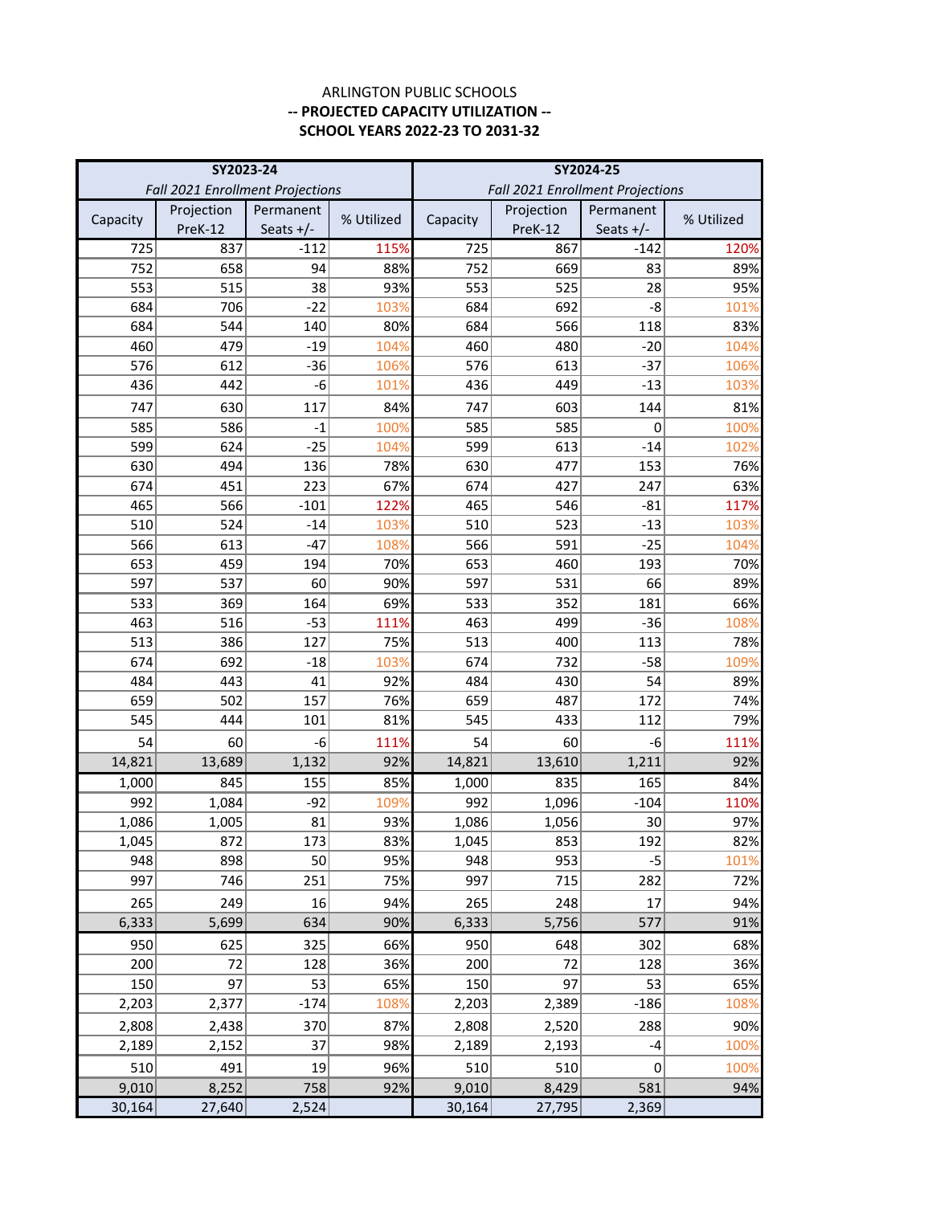|          | SY2023-24  |                                  |            |          | SY2024-25                        |             |            |
|----------|------------|----------------------------------|------------|----------|----------------------------------|-------------|------------|
|          |            | Fall 2021 Enrollment Projections |            |          | Fall 2021 Enrollment Projections |             |            |
|          | Projection | Permanent                        | % Utilized | Capacity | Projection                       | Permanent   | % Utilized |
| Capacity | PreK-12    | Seats $+/-$                      |            |          | PreK-12                          | Seats $+/-$ |            |
| 725      | 837        | $-112$                           | 115%       | 725      | 867                              | $-142$      | 120%       |
| 752      | 658        | 94                               | 88%        | 752      | 669                              | 83          | 89%        |
| 553      | 515        | 38                               | 93%        | 553      | 525                              | 28          | 95%        |
| 684      | 706        | $-22$                            | 103%       | 684      | 692                              | $-8$        | 101%       |
| 684      | 544        | 140                              | 80%        | 684      | 566                              | 118         | 83%        |
| 460      | 479        | $-19$                            | 104%       | 460      | 480                              | $-20$       | 104%       |
| 576      | 612        | $-36$                            | 106%       | 576      | 613                              | $-37$       | 106%       |
| 436      | 442        | -6                               | 101%       | 436      | 449                              | $-13$       | 103%       |
| 747      | 630        | 117                              | 84%        | 747      | 603                              | 144         | 81%        |
| 585      | 586        | $-1$                             | 100%       | 585      | 585                              | 0           | 100%       |
| 599      | 624        | $-25$                            | 104%       | 599      | 613                              | $-14$       | 102%       |
| 630      | 494        | 136                              | 78%        | 630      | 477                              | 153         | 76%        |
| 674      | 451        | 223                              | 67%        | 674      | 427                              | 247         | 63%        |
| 465      | 566        | $-101$                           | 122%       | 465      | 546                              | $-81$       | 117%       |
| 510      | 524        | $-14$                            | 103%       | 510      | 523                              | $-13$       | 103%       |
| 566      | 613        | $-47$                            | 108%       | 566      | 591                              | $-25$       | 104%       |
| 653      | 459        | 194                              | 70%        | 653      | 460                              | 193         | 70%        |
| 597      | 537        | 60                               | 90%        | 597      | 531                              | 66          | 89%        |
| 533      | 369        | 164                              | 69%        | 533      | 352                              | 181         | 66%        |
| 463      | 516        | $-53$                            | 111%       | 463      | 499                              | $-36$       | 108%       |
| 513      | 386        | 127                              | 75%        | 513      | 400                              | 113         | 78%        |
| 674      | 692        | $-18$                            | 103%       | 674      | 732                              | $-58$       | 109%       |
| 484      | 443        | 41                               | 92%        | 484      | 430                              | 54          | 89%        |
| 659      | 502        | 157                              | 76%        | 659      | 487                              | 172         | 74%        |
| 545      | 444        | 101                              | 81%        | 545      | 433                              | 112         | 79%        |
| 54       | 60         | -6                               | 111%       | 54       | 60                               | -6          | 111%       |
| 14,821   | 13,689     | 1,132                            | 92%        | 14,821   | 13,610                           | 1,211       | 92%        |
| 1,000    | 845        | 155                              | 85%        | 1,000    | 835                              | 165         | 84%        |
| 992      | 1,084      | $-92$                            | 109%       | 992      | 1,096                            | $-104$      | 110%       |
| 1,086    | 1,005      | 81                               | 93%        | 1,086    | 1,056                            | 30          | 97%        |
| 1,045    | 872        | 173                              | 83%        | 1,045    | 853                              | 192         | 82%        |
| 948      | 898        | 50                               | 95%        | 948      | 953                              | $-5$        | 101%       |
| 997      | 746        | 251                              | 75%        | 997      | 715                              | 282         | 72%        |
| 265      | 249        | 16                               | 94%        | 265      | 248                              | 17          | 94%        |
| 6,333    | 5,699      | 634                              | 90%        | 6,333    | 5,756                            | 577         | 91%        |
| 950      | 625        | 325                              | 66%        | 950      | 648                              | 302         | 68%        |
| 200      | 72         | 128                              | 36%        | 200      | 72                               | 128         | 36%        |
| 150      | 97         | 53                               | 65%        | 150      | 97                               | 53          | 65%        |
| 2,203    | 2,377      | $-174$                           | 108%       | 2,203    | 2,389                            | $-186$      | 108%       |
| 2,808    | 2,438      | 370                              | 87%        | 2,808    | 2,520                            | 288         | 90%        |
| 2,189    | 2,152      | 37                               | 98%        | 2,189    | 2,193                            | $-4$        | 100%       |
| 510      | 491        | 19                               | 96%        | 510      | 510                              | $\pmb{0}$   | 100%       |
| 9,010    | 8,252      | 758                              | 92%        | 9,010    | 8,429                            | 581         | 94%        |
| 30,164   | 27,640     | 2,524                            |            | 30,164   | 27,795                           | 2,369       |            |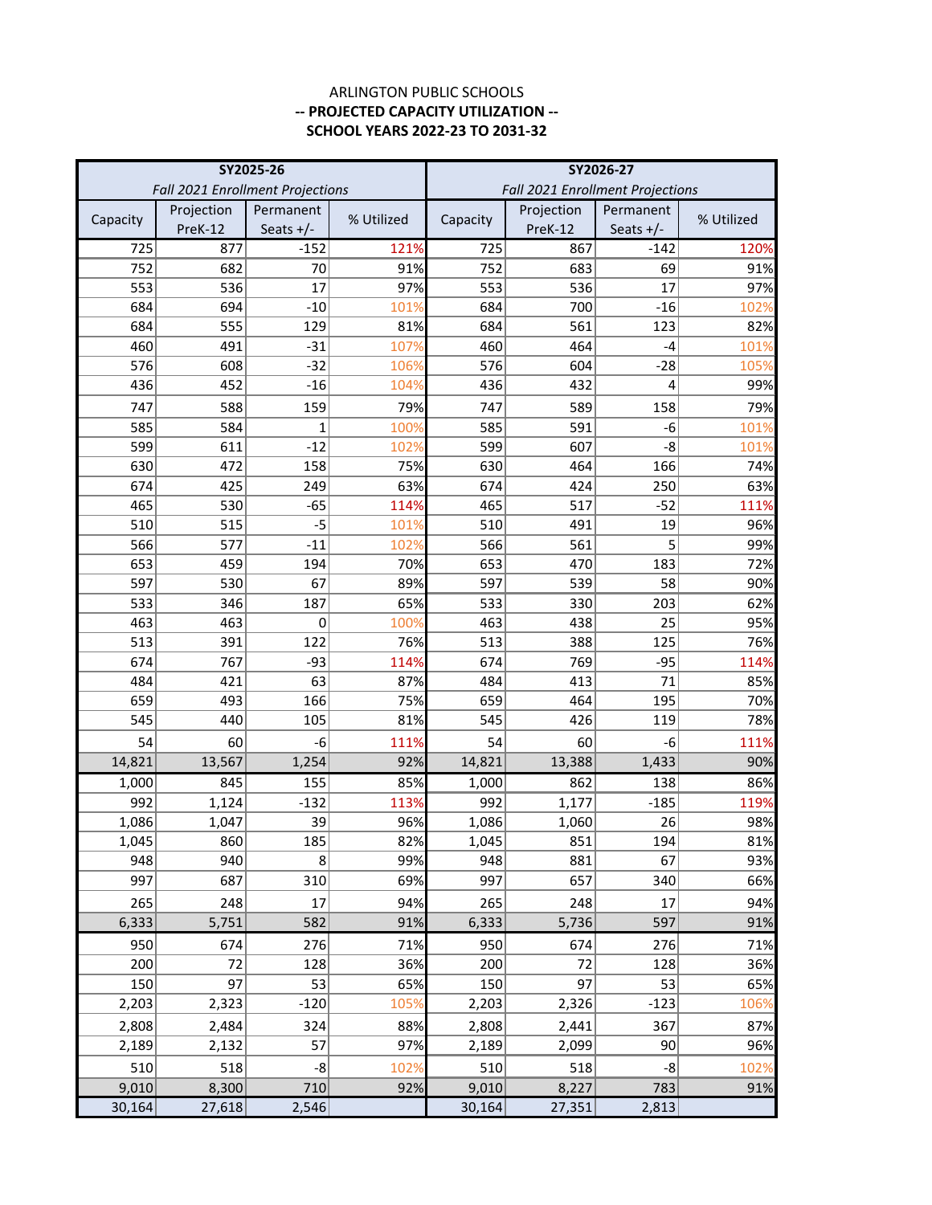|            | SY2025-26                        |              |             | SY2026-27  |                                  |             |             |
|------------|----------------------------------|--------------|-------------|------------|----------------------------------|-------------|-------------|
|            | Fall 2021 Enrollment Projections |              |             |            | Fall 2021 Enrollment Projections |             |             |
| Capacity   | Projection                       | Permanent    | % Utilized  | Capacity   | Projection                       | Permanent   | % Utilized  |
|            | PreK-12                          | Seats $+/-$  |             |            | PreK-12                          | Seats $+/-$ |             |
| 725        | 877                              | $-152$       | 121%        | 725        | 867                              | $-142$      | 120%        |
| 752        | 682                              | 70           | 91%         | 752        | 683                              | 69          | 91%         |
| 553        | 536                              | 17           | 97%         | 553        | 536                              | 17          | 97%         |
| 684        | 694                              | $-10$        | 101%        | 684        | 700                              | $-16$       | 102%        |
| 684        | 555                              | 129          | 81%         | 684        | 561                              | 123         | 82%         |
| 460        | 491                              | $-31$        | 107%        | 460        | 464                              | -4          | 101%        |
| 576        | 608                              | $-32$        | 106%        | 576        | 604                              | $-28$       | 105%        |
| 436        | 452                              | $-16$        | 104%        | 436        | 432                              | 4           | 99%         |
| 747        | 588                              | 159          | 79%         | 747        | 589                              | 158         | 79%         |
| 585        | 584                              | $\mathbf{1}$ | 100%        | 585        | 591                              | -6          | 101%        |
| 599        | 611                              | $-12$        | 102%        | 599        | 607                              | -8          | 101%        |
| 630        | 472                              | 158          | 75%         | 630        | 464                              | 166         | 74%         |
| 674        | 425                              | 249          | 63%         | 674        | 424                              | 250         | 63%         |
| 465        | 530                              | $-65$        | 114%        | 465        | 517                              | $-52$       | 111%        |
| 510        | 515                              | $-5$         | 101%        | 510        | 491                              | 19          | 96%         |
| 566        | 577                              | $-11$        | 102%        | 566        | 561                              | 5           | 99%         |
| 653        | 459                              | 194          | 70%         | 653        | 470                              | 183         | 72%         |
| 597        | 530                              | 67           | 89%         | 597        | 539                              | 58          | 90%         |
| 533        | 346                              | 187          | 65%         | 533        | 330                              | 203         | 62%         |
| 463        | 463                              | 0            | 100%        | 463        | 438                              | 25          | 95%         |
| 513        | 391                              | 122          | 76%         | 513        | 388                              | 125         | 76%         |
| 674<br>484 | 767<br>421                       | $-93$<br>63  | 114%<br>87% | 674<br>484 | 769<br>413                       | $-95$<br>71 | 114%<br>85% |
| 659        | 493                              | 166          | 75%         | 659        | 464                              | 195         | 70%         |
| 545        | 440                              | 105          | 81%         | 545        | 426                              | 119         | 78%         |
| 54         | 60                               | -6           | 111%        | 54         | 60                               | -6          |             |
| 14,821     | 13,567                           | 1,254        | 92%         | 14,821     | 13,388                           | 1,433       | 111%<br>90% |
| 1,000      | 845                              | 155          | 85%         | 1,000      | 862                              | 138         | 86%         |
| 992        | 1,124                            | $-132$       | 113%        | 992        | 1,177                            | $-185$      | 119%        |
| 1,086      | 1,047                            | 39           | 96%         | 1,086      | 1,060                            | 26          | 98%         |
| 1,045      | 860                              | 185          | 82%         | 1,045      | 851                              | 194         | 81%         |
| 948        | 940                              | 8            | 99%         | 948        | 881                              | 67          | 93%         |
| 997        | 687                              | 310          | 69%         | 997        | 657                              | 340         | 66%         |
| 265        | 248                              | 17           | 94%         | 265        | 248                              | 17          | 94%         |
| 6,333      | 5,751                            | 582          | 91%         | 6,333      | 5,736                            | 597         | 91%         |
| 950        |                                  |              |             | 950        | 674                              |             |             |
| 200        | 674<br>72                        | 276<br>128   | 71%<br>36%  | 200        | 72                               | 276<br>128  | 71%<br>36%  |
| 150        | 97                               | 53           | 65%         | 150        | 97                               | 53          | 65%         |
| 2,203      | 2,323                            | $-120$       | 105%        | 2,203      | 2,326                            | $-123$      | 106%        |
|            |                                  |              |             |            |                                  |             |             |
| 2,808      | 2,484                            | 324          | 88%         | 2,808      | 2,441                            | 367         | 87%         |
| 2,189      | 2,132                            | 57           | 97%         | 2,189      | 2,099                            | 90          | 96%         |
| 510        | 518                              | -8           | 102%        | 510        | 518                              | -8          | 102%        |
| 9,010      | 8,300                            | 710          | 92%         | 9,010      | 8,227                            | 783         | 91%         |
| 30,164     | 27,618                           | 2,546        |             | 30,164     | 27,351                           | 2,813       |             |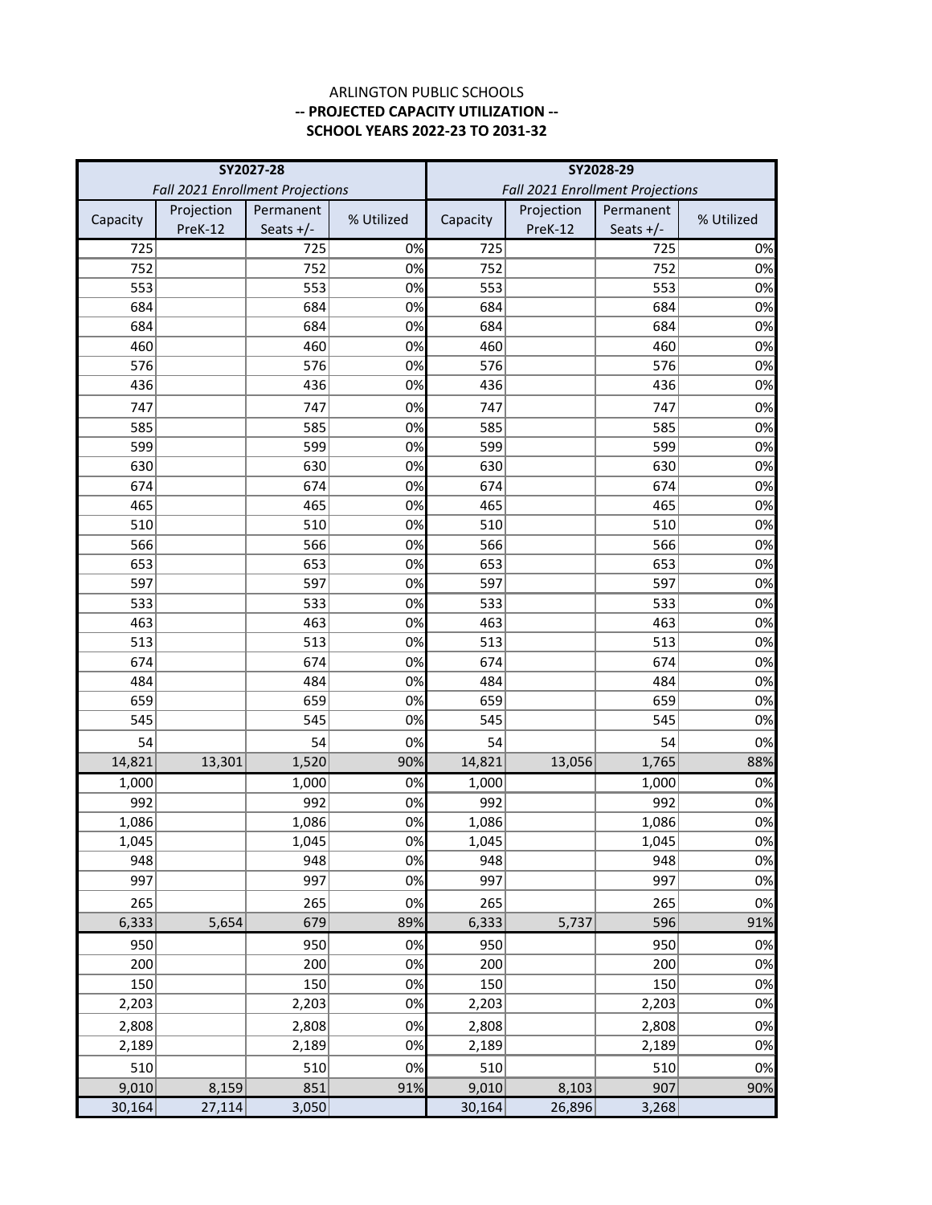|            | SY2027-28                        |             |            | SY2028-29  |                                  |             |            |
|------------|----------------------------------|-------------|------------|------------|----------------------------------|-------------|------------|
|            | Fall 2021 Enrollment Projections |             |            |            | Fall 2021 Enrollment Projections |             |            |
| Capacity   | Projection                       | Permanent   | % Utilized | Capacity   | Projection                       | Permanent   | % Utilized |
|            | PreK-12                          | Seats $+/-$ |            |            | PreK-12                          | Seats $+/-$ |            |
| 725        |                                  | 725         | 0%         | 725        |                                  | 725         | 0%         |
| 752        |                                  | 752         | 0%         | 752        |                                  | 752         | 0%         |
| 553        |                                  | 553         | 0%         | 553        |                                  | 553         | 0%         |
| 684        |                                  | 684         | 0%         | 684        |                                  | 684         | 0%         |
| 684        |                                  | 684         | 0%         | 684        |                                  | 684         | 0%         |
| 460        |                                  | 460         | 0%         | 460        |                                  | 460         | 0%         |
| 576        |                                  | 576         | 0%         | 576        |                                  | 576         | 0%         |
| 436        |                                  | 436         | 0%         | 436        |                                  | 436         | 0%         |
| 747        |                                  | 747         | 0%         | 747        |                                  | 747         | 0%         |
| 585        |                                  | 585         | 0%         | 585        |                                  | 585         | 0%         |
| 599        |                                  | 599         | 0%         | 599        |                                  | 599         | 0%         |
| 630        |                                  | 630         | 0%         | 630        |                                  | 630         | 0%         |
| 674        |                                  | 674         | 0%         | 674        |                                  | 674         | 0%         |
| 465        |                                  | 465         | 0%         | 465        |                                  | 465         | 0%         |
| 510        |                                  | 510         | 0%         | 510        |                                  | 510         | 0%         |
| 566        |                                  | 566         | 0%         | 566        |                                  | 566         | 0%         |
| 653        |                                  | 653         | 0%         | 653        |                                  | 653         | 0%         |
| 597        |                                  | 597         | 0%         | 597        |                                  | 597         | 0%         |
| 533        |                                  | 533         | 0%         | 533        |                                  | 533         | 0%         |
| 463<br>513 |                                  | 463         | 0%         | 463        |                                  | 463<br>513  | 0%         |
| 674        |                                  | 513<br>674  | 0%<br>0%   | 513<br>674 |                                  | 674         | 0%<br>0%   |
| 484        |                                  | 484         | 0%         | 484        |                                  | 484         | 0%         |
| 659        |                                  | 659         | 0%         | 659        |                                  | 659         | 0%         |
| 545        |                                  | 545         | 0%         | 545        |                                  | 545         | 0%         |
| 54         |                                  | 54          | 0%         | 54         |                                  | 54          | 0%         |
| 14,821     | 13,301                           | 1,520       | 90%        | 14,821     | 13,056                           | 1,765       | 88%        |
| 1,000      |                                  | 1,000       | 0%         | 1,000      |                                  | 1,000       | 0%         |
| 992        |                                  | 992         | 0%         | 992        |                                  | 992         | 0%         |
| 1,086      |                                  | 1,086       | 0%         | 1,086      |                                  | 1,086       | 0%         |
| 1,045      |                                  | 1,045       | 0%         | 1,045      |                                  | 1,045       | 0%         |
| 948        |                                  | 948         | 0%         | 948        |                                  | 948         | 0%         |
| 997        |                                  | 997         | 0%         | 997        |                                  | 997         | 0%         |
| 265        |                                  | 265         | 0%         | 265        |                                  | 265         | 0%         |
| 6,333      | 5,654                            | 679         | 89%        | 6,333      | 5,737                            | 596         | 91%        |
| 950        |                                  | 950         | 0%         | 950        |                                  | 950         | 0%         |
| 200        |                                  | 200         | 0%         | 200        |                                  | 200         | 0%         |
| 150        |                                  | 150         | 0%         | 150        |                                  | 150         | 0%         |
| 2,203      |                                  | 2,203       | 0%         | 2,203      |                                  | 2,203       | 0%         |
|            |                                  |             |            |            |                                  |             |            |
| 2,808      |                                  | 2,808       | 0%         | 2,808      |                                  | 2,808       | 0%         |
| 2,189      |                                  | 2,189       | 0%         | 2,189      |                                  | 2,189       | 0%         |
| 510        |                                  | 510         | 0%         | 510        |                                  | 510         | 0%         |
| 9,010      | 8,159                            | 851         | 91%        | 9,010      | 8,103                            | 907         | 90%        |
| 30,164     | 27,114                           | 3,050       |            | 30,164     | 26,896                           | 3,268       |            |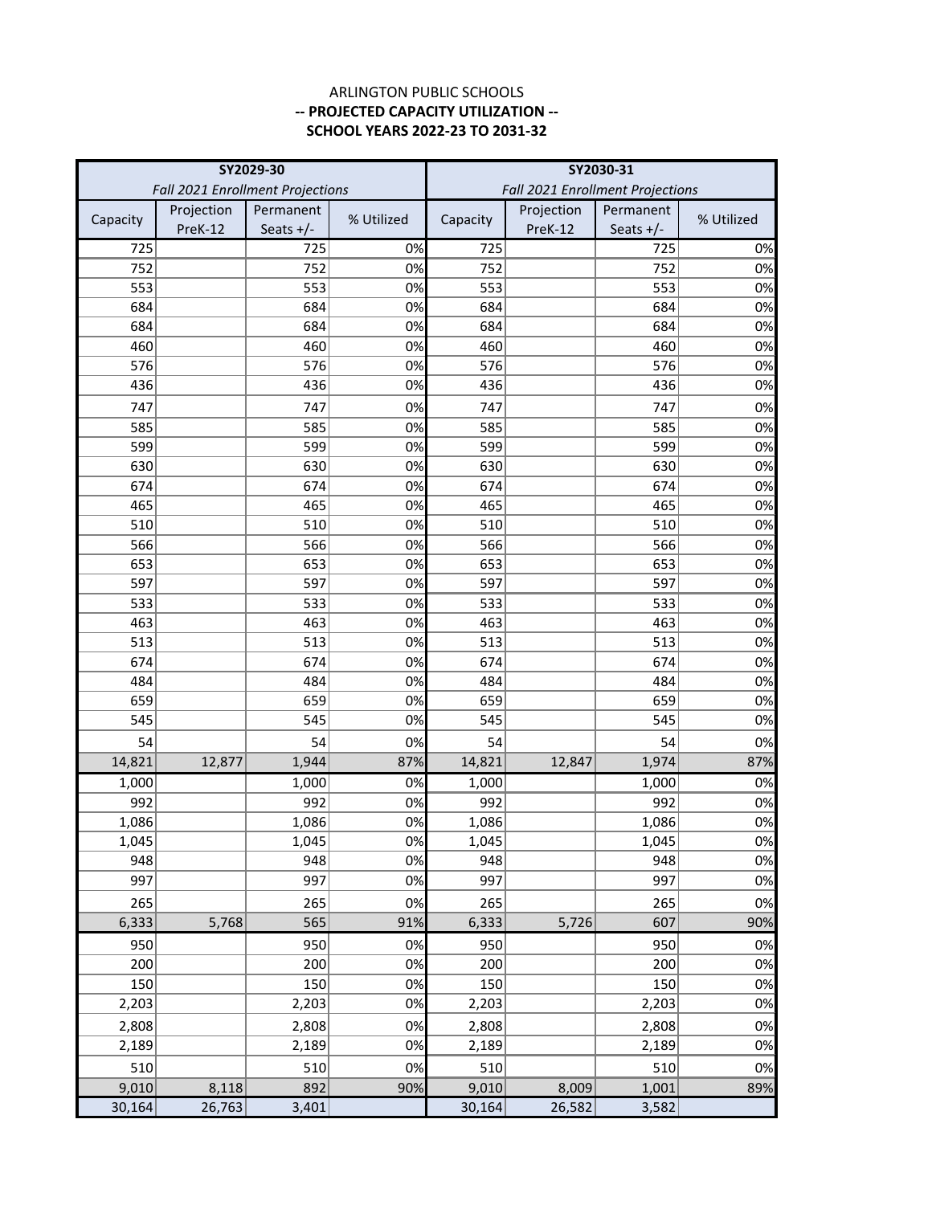# **SCHOOL YEARS 2022-23 TO 2031-32** ARLINGTON PUBLIC SCHOOLS **-- PROJECTED CAPACITY UTILIZATION --**

|            | SY2029-30                        |             |            | SY2030-31  |                                  |             |            |
|------------|----------------------------------|-------------|------------|------------|----------------------------------|-------------|------------|
|            | Fall 2021 Enrollment Projections |             |            |            | Fall 2021 Enrollment Projections |             |            |
| Capacity   | Projection                       | Permanent   | % Utilized | Capacity   | Projection                       | Permanent   | % Utilized |
|            | PreK-12                          | Seats $+/-$ |            |            | PreK-12                          | Seats $+/-$ |            |
| 725        |                                  | 725         | 0%         | 725        |                                  | 725         | 0%         |
| 752        |                                  | 752         | 0%         | 752        |                                  | 752         | 0%         |
| 553        |                                  | 553         | 0%         | 553        |                                  | 553         | 0%         |
| 684        |                                  | 684         | 0%         | 684        |                                  | 684         | 0%         |
| 684        |                                  | 684         | 0%         | 684        |                                  | 684         | 0%         |
| 460        |                                  | 460         | 0%         | 460        |                                  | 460         | 0%         |
| 576        |                                  | 576         | 0%         | 576        |                                  | 576         | 0%         |
| 436        |                                  | 436         | 0%         | 436        |                                  | 436         | 0%         |
| 747        |                                  | 747         | 0%         | 747        |                                  | 747         | 0%         |
| 585        |                                  | 585         | 0%         | 585        |                                  | 585         | 0%         |
| 599        |                                  | 599         | 0%         | 599        |                                  | 599         | 0%         |
| 630        |                                  | 630         | 0%         | 630        |                                  | 630         | 0%         |
| 674        |                                  | 674         | 0%         | 674        |                                  | 674         | 0%         |
| 465        |                                  | 465         | 0%         | 465        |                                  | 465         | 0%         |
| 510        |                                  | 510         | 0%         | 510        |                                  | 510         | 0%         |
| 566        |                                  | 566         | 0%         | 566        |                                  | 566         | 0%         |
| 653        |                                  | 653         | 0%         | 653        |                                  | 653         | 0%         |
| 597<br>533 |                                  | 597<br>533  | 0%<br>0%   | 597<br>533 |                                  | 597<br>533  | 0%<br>0%   |
| 463        |                                  | 463         | 0%         | 463        |                                  | 463         | 0%         |
| 513        |                                  | 513         | 0%         | 513        |                                  | 513         | 0%         |
| 674        |                                  | 674         | 0%         | 674        |                                  | 674         | 0%         |
| 484        |                                  | 484         | 0%         | 484        |                                  | 484         | 0%         |
| 659        |                                  | 659         | 0%         | 659        |                                  | 659         | 0%         |
| 545        |                                  | 545         | 0%         | 545        |                                  | 545         | 0%         |
| 54         |                                  | 54          | 0%         | 54         |                                  | 54          | 0%         |
| 14,821     | 12,877                           | 1,944       | 87%        | 14,821     | 12,847                           | 1,974       | 87%        |
| 1,000      |                                  | 1,000       | 0%         | 1,000      |                                  | 1,000       | 0%         |
| 992        |                                  | 992         | 0%         | 992        |                                  | 992         | 0%         |
| 1,086      |                                  | 1,086       | 0%         | 1,086      |                                  | 1,086       | 0%         |
| 1,045      |                                  | 1,045       | 0%         | 1,045      |                                  | 1,045       | 0%         |
| 948        |                                  | 948         | 0%         | 948        |                                  | 948         | 0%         |
| 997        |                                  | 997         | 0%         | 997        |                                  | 997         | 0%         |
| 265        |                                  | 265         | 0%         | 265        |                                  | 265         | 0%         |
| 6,333      | 5,768                            | 565         | 91%        | 6,333      | 5,726                            | 607         | 90%        |
| 950        |                                  | 950         | 0%         | 950        |                                  | 950         | 0%         |
| 200        |                                  | 200         | 0%         | 200        |                                  | 200         | 0%         |
| 150        |                                  | 150         | 0%         | 150        |                                  | 150         | 0%         |
| 2,203      |                                  | 2,203       | 0%         | 2,203      |                                  | 2,203       | 0%         |
| 2,808      |                                  | 2,808       | 0%         | 2,808      |                                  | 2,808       | 0%         |
| 2,189      |                                  | 2,189       | 0%         | 2,189      |                                  | 2,189       | 0%         |
| 510        |                                  | 510         | 0%         | 510        |                                  | 510         | 0%         |
| 9,010      | 8,118                            | 892         | 90%        | 9,010      | 8,009                            | 1,001       | 89%        |
| 30,164     | 26,763                           | 3,401       |            | 30,164     | 26,582                           | 3,582       |            |
|            |                                  |             |            |            |                                  |             |            |